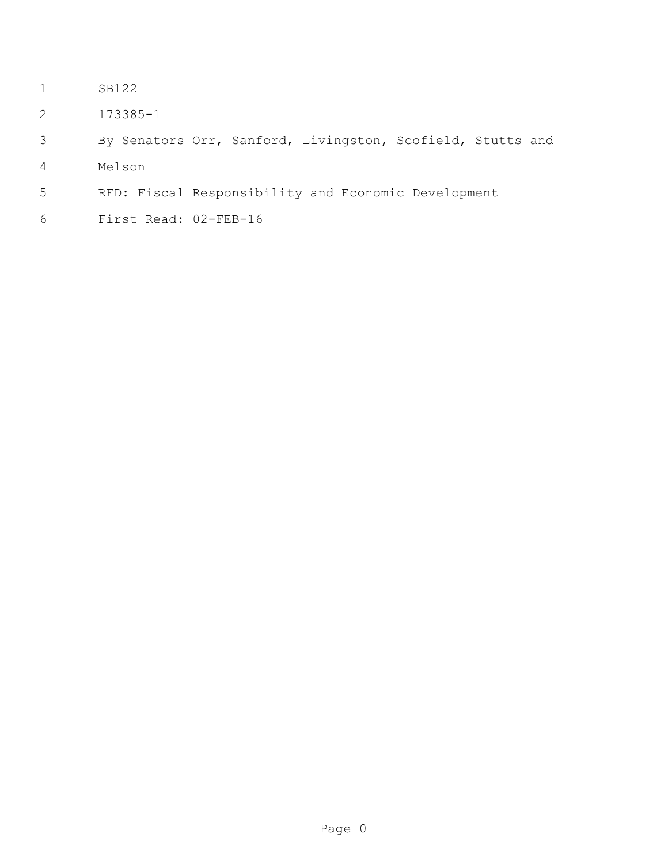- SB122
- 173385-1

```
3 By Senators Orr, Sanford, Livingston, Scofield, Stutts and
```
- Melson
- RFD: Fiscal Responsibility and Economic Development
- First Read: 02-FEB-16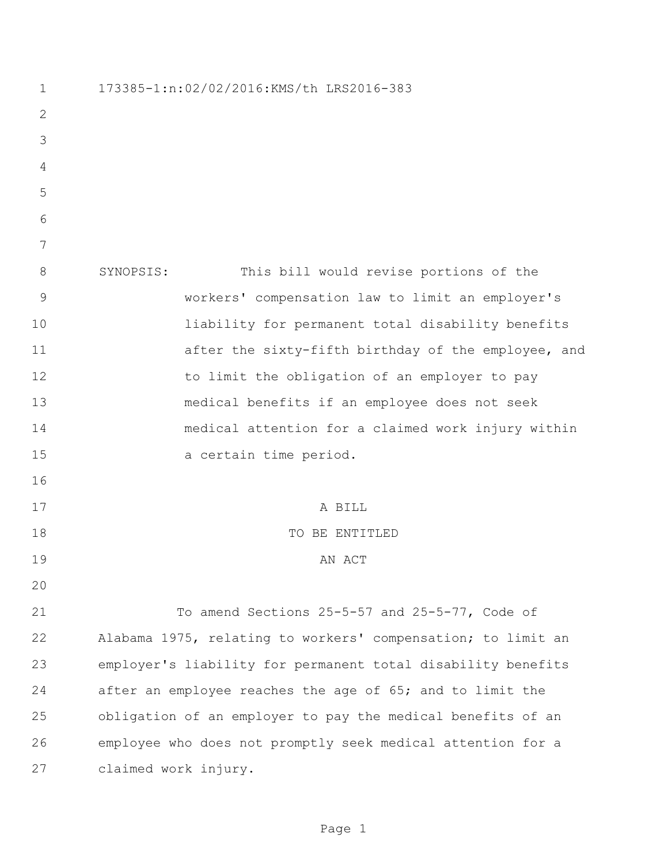173385-1:n:02/02/2016:KMS/th LRS2016-383 SYNOPSIS: This bill would revise portions of the workers' compensation law to limit an employer's liability for permanent total disability benefits 11 after the sixty-fifth birthday of the employee, and 12 to limit the obligation of an employer to pay medical benefits if an employee does not seek medical attention for a claimed work injury within a certain time period. A BILL 18 TO BE ENTITLED 19 AN ACT To amend Sections 25-5-57 and 25-5-77, Code of Alabama 1975, relating to workers' compensation; to limit an employer's liability for permanent total disability benefits after an employee reaches the age of 65; and to limit the obligation of an employer to pay the medical benefits of an employee who does not promptly seek medical attention for a claimed work injury.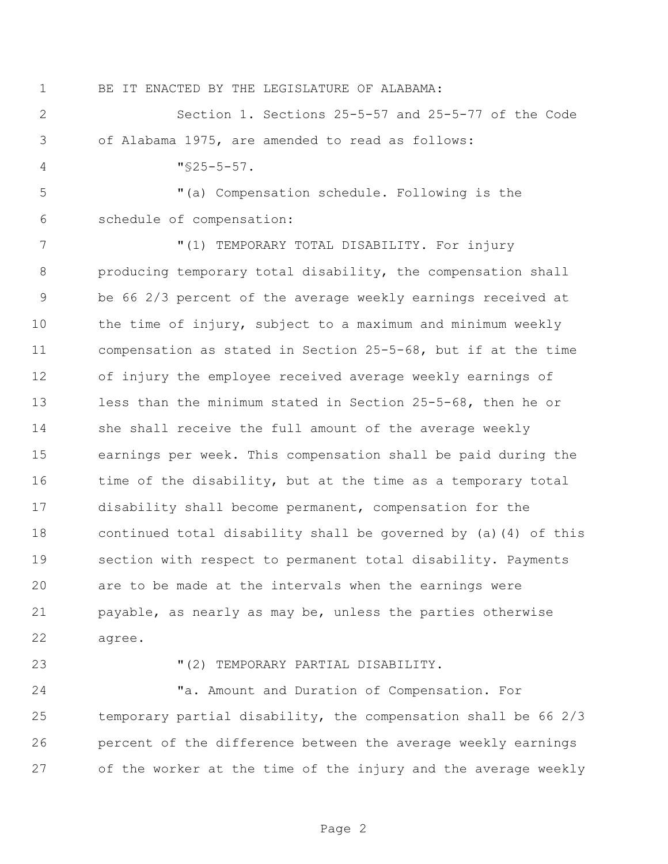BE IT ENACTED BY THE LEGISLATURE OF ALABAMA:

 Section 1. Sections 25-5-57 and 25-5-77 of the Code of Alabama 1975, are amended to read as follows:

"§25-5-57.

 "(a) Compensation schedule. Following is the schedule of compensation:

7 "(1) TEMPORARY TOTAL DISABILITY. For injury producing temporary total disability, the compensation shall be 66 2/3 percent of the average weekly earnings received at the time of injury, subject to a maximum and minimum weekly compensation as stated in Section 25-5-68, but if at the time of injury the employee received average weekly earnings of less than the minimum stated in Section 25-5-68, then he or 14 she shall receive the full amount of the average weekly earnings per week. This compensation shall be paid during the 16 time of the disability, but at the time as a temporary total disability shall become permanent, compensation for the continued total disability shall be governed by (a)(4) of this section with respect to permanent total disability. Payments are to be made at the intervals when the earnings were payable, as nearly as may be, unless the parties otherwise agree.

## "(2) TEMPORARY PARTIAL DISABILITY.

 "a. Amount and Duration of Compensation. For temporary partial disability, the compensation shall be 66 2/3 percent of the difference between the average weekly earnings of the worker at the time of the injury and the average weekly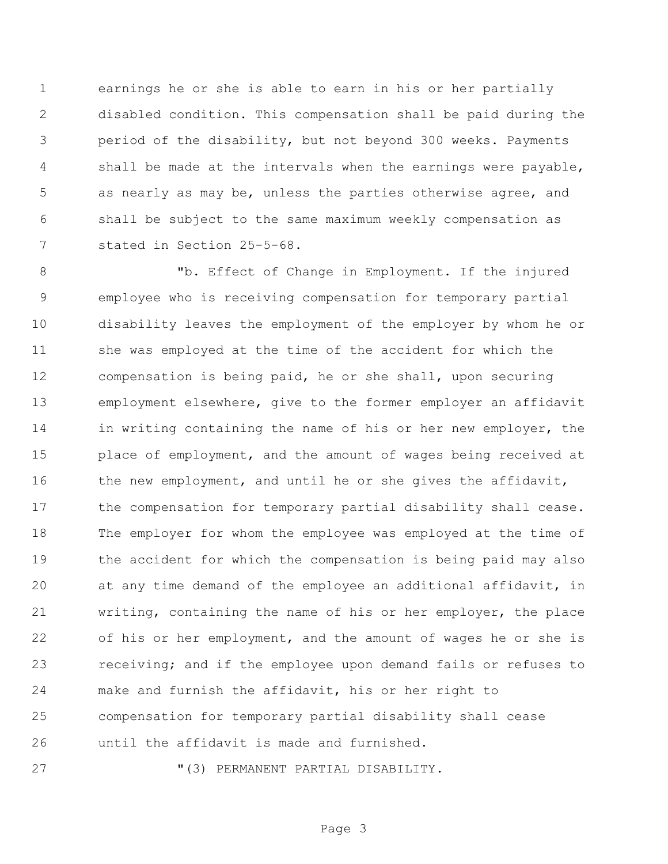earnings he or she is able to earn in his or her partially disabled condition. This compensation shall be paid during the period of the disability, but not beyond 300 weeks. Payments shall be made at the intervals when the earnings were payable, as nearly as may be, unless the parties otherwise agree, and shall be subject to the same maximum weekly compensation as stated in Section 25-5-68.

 "b. Effect of Change in Employment. If the injured employee who is receiving compensation for temporary partial disability leaves the employment of the employer by whom he or she was employed at the time of the accident for which the compensation is being paid, he or she shall, upon securing employment elsewhere, give to the former employer an affidavit 14 in writing containing the name of his or her new employer, the place of employment, and the amount of wages being received at 16 the new employment, and until he or she gives the affidavit, the compensation for temporary partial disability shall cease. The employer for whom the employee was employed at the time of the accident for which the compensation is being paid may also at any time demand of the employee an additional affidavit, in writing, containing the name of his or her employer, the place of his or her employment, and the amount of wages he or she is receiving; and if the employee upon demand fails or refuses to make and furnish the affidavit, his or her right to compensation for temporary partial disability shall cease until the affidavit is made and furnished.

"(3) PERMANENT PARTIAL DISABILITY.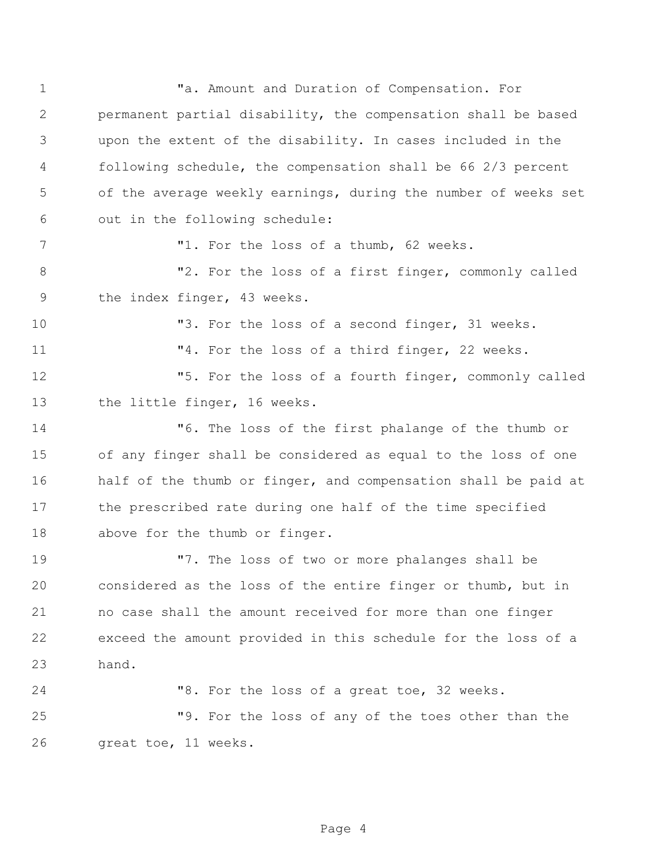1 Ta. Amount and Duration of Compensation. For permanent partial disability, the compensation shall be based upon the extent of the disability. In cases included in the following schedule, the compensation shall be 66 2/3 percent of the average weekly earnings, during the number of weeks set out in the following schedule: 7 The Ioss of a thumb, 62 weeks. "2. For the loss of a first finger, commonly called 9 the index finger, 43 weeks. "3. For the loss of a second finger, 31 weeks. "4. For the loss of a third finger, 22 weeks. "5. For the loss of a fourth finger, commonly called 13 the little finger, 16 weeks. "6. The loss of the first phalange of the thumb or of any finger shall be considered as equal to the loss of one half of the thumb or finger, and compensation shall be paid at the prescribed rate during one half of the time specified above for the thumb or finger. "7. The loss of two or more phalanges shall be considered as the loss of the entire finger or thumb, but in no case shall the amount received for more than one finger exceed the amount provided in this schedule for the loss of a hand. "8. For the loss of a great toe, 32 weeks. "9. For the loss of any of the toes other than the great toe, 11 weeks.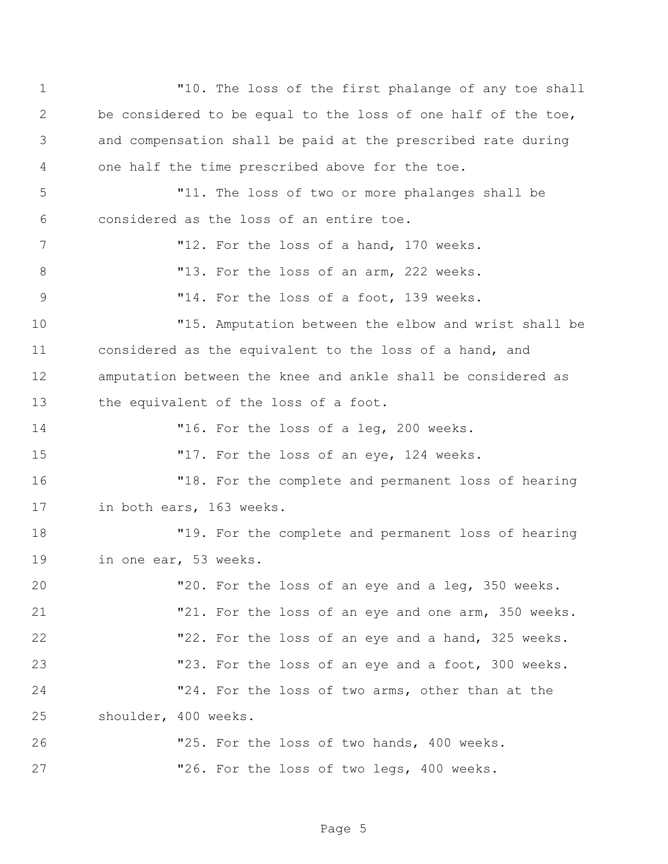"10. The loss of the first phalange of any toe shall be considered to be equal to the loss of one half of the toe, and compensation shall be paid at the prescribed rate during one half the time prescribed above for the toe. "11. The loss of two or more phalanges shall be considered as the loss of an entire toe. 7 The M12. For the loss of a hand, 170 weeks. "13. For the loss of an arm, 222 weeks. "14. For the loss of a foot, 139 weeks. "15. Amputation between the elbow and wrist shall be considered as the equivalent to the loss of a hand, and amputation between the knee and ankle shall be considered as the equivalent of the loss of a foot. "16. For the loss of a leg, 200 weeks. 15 "17. For the loss of an eye, 124 weeks. "18. For the complete and permanent loss of hearing in both ears, 163 weeks. "19. For the complete and permanent loss of hearing in one ear, 53 weeks. "20. For the loss of an eye and a leg, 350 weeks. "21. For the loss of an eye and one arm, 350 weeks. 22 "22. For the loss of an eye and a hand, 325 weeks. "23. For the loss of an eye and a foot, 300 weeks. "24. For the loss of two arms, other than at the shoulder, 400 weeks. "25. For the loss of two hands, 400 weeks. "26. For the loss of two legs, 400 weeks.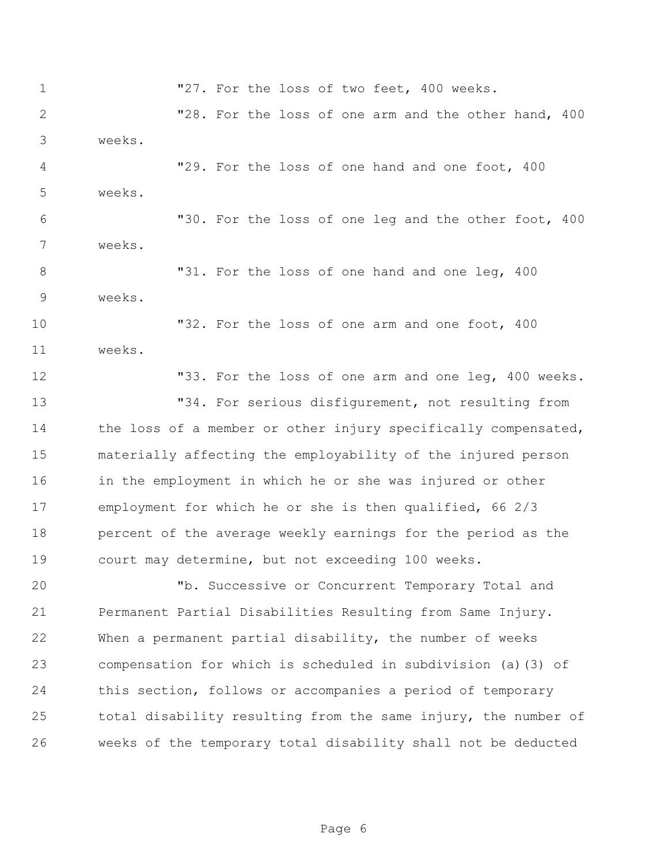**"27.** For the loss of two feet, 400 weeks. "28. For the loss of one arm and the other hand, 400 weeks.

 "29. For the loss of one hand and one foot, 400 weeks.

 "30. For the loss of one leg and the other foot, 400 weeks.

 "31. For the loss of one hand and one leg, 400 weeks.

 "32. For the loss of one arm and one foot, 400 weeks.

 "33. For the loss of one arm and one leg, 400 weeks. "34. For serious disfigurement, not resulting from 14 the loss of a member or other injury specifically compensated, materially affecting the employability of the injured person in the employment in which he or she was injured or other employment for which he or she is then qualified, 66 2/3 percent of the average weekly earnings for the period as the court may determine, but not exceeding 100 weeks.

 "b. Successive or Concurrent Temporary Total and Permanent Partial Disabilities Resulting from Same Injury. When a permanent partial disability, the number of weeks compensation for which is scheduled in subdivision (a)(3) of this section, follows or accompanies a period of temporary total disability resulting from the same injury, the number of weeks of the temporary total disability shall not be deducted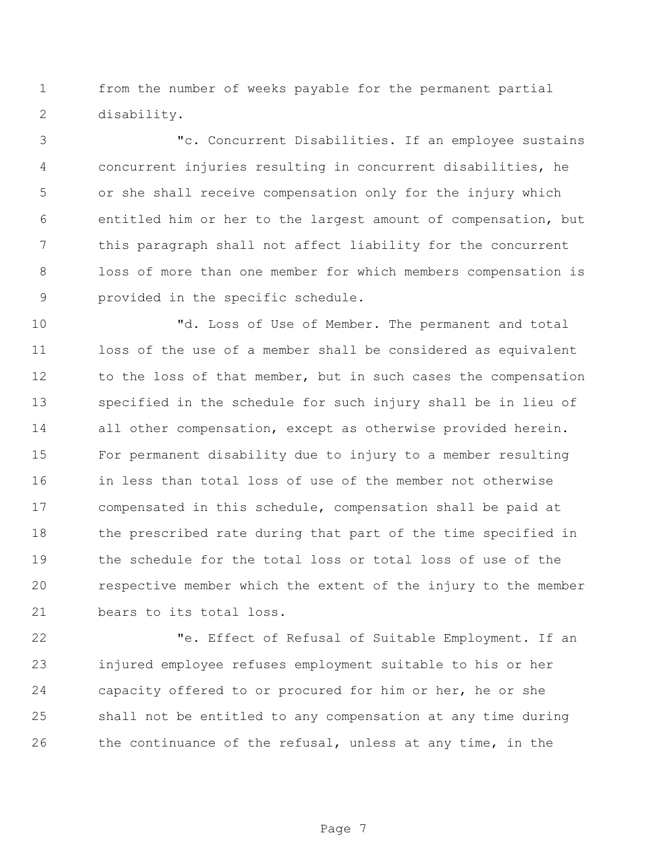from the number of weeks payable for the permanent partial disability.

 "c. Concurrent Disabilities. If an employee sustains concurrent injuries resulting in concurrent disabilities, he or she shall receive compensation only for the injury which entitled him or her to the largest amount of compensation, but this paragraph shall not affect liability for the concurrent loss of more than one member for which members compensation is provided in the specific schedule.

 "d. Loss of Use of Member. The permanent and total loss of the use of a member shall be considered as equivalent 12 to the loss of that member, but in such cases the compensation specified in the schedule for such injury shall be in lieu of all other compensation, except as otherwise provided herein. For permanent disability due to injury to a member resulting in less than total loss of use of the member not otherwise compensated in this schedule, compensation shall be paid at the prescribed rate during that part of the time specified in the schedule for the total loss or total loss of use of the respective member which the extent of the injury to the member bears to its total loss.

 "e. Effect of Refusal of Suitable Employment. If an injured employee refuses employment suitable to his or her capacity offered to or procured for him or her, he or she shall not be entitled to any compensation at any time during 26 the continuance of the refusal, unless at any time, in the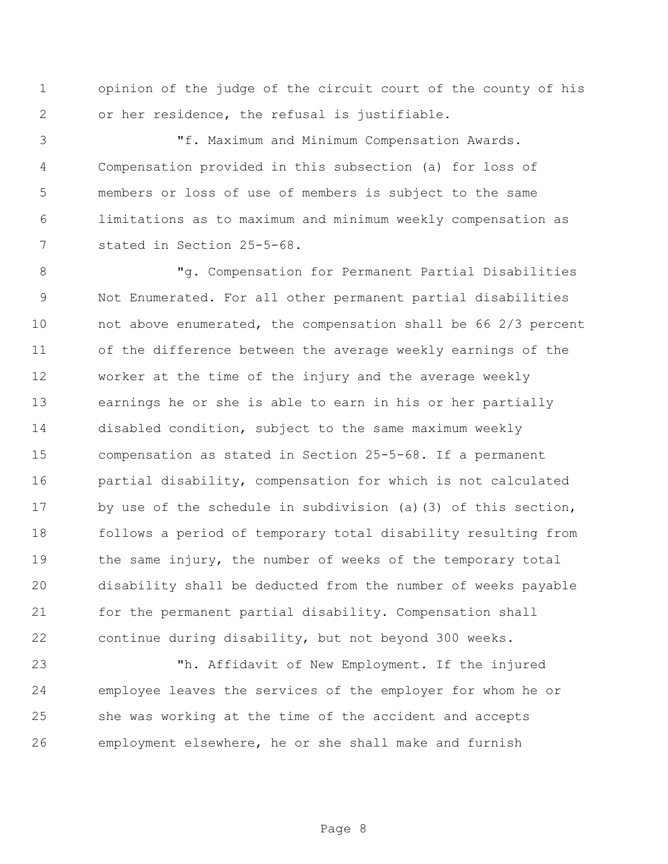opinion of the judge of the circuit court of the county of his or her residence, the refusal is justifiable.

 "f. Maximum and Minimum Compensation Awards. Compensation provided in this subsection (a) for loss of members or loss of use of members is subject to the same limitations as to maximum and minimum weekly compensation as stated in Section 25-5-68.

 "g. Compensation for Permanent Partial Disabilities Not Enumerated. For all other permanent partial disabilities not above enumerated, the compensation shall be 66 2/3 percent of the difference between the average weekly earnings of the worker at the time of the injury and the average weekly earnings he or she is able to earn in his or her partially disabled condition, subject to the same maximum weekly compensation as stated in Section 25-5-68. If a permanent partial disability, compensation for which is not calculated by use of the schedule in subdivision (a)(3) of this section, follows a period of temporary total disability resulting from 19 the same injury, the number of weeks of the temporary total disability shall be deducted from the number of weeks payable for the permanent partial disability. Compensation shall continue during disability, but not beyond 300 weeks.

 "h. Affidavit of New Employment. If the injured employee leaves the services of the employer for whom he or she was working at the time of the accident and accepts employment elsewhere, he or she shall make and furnish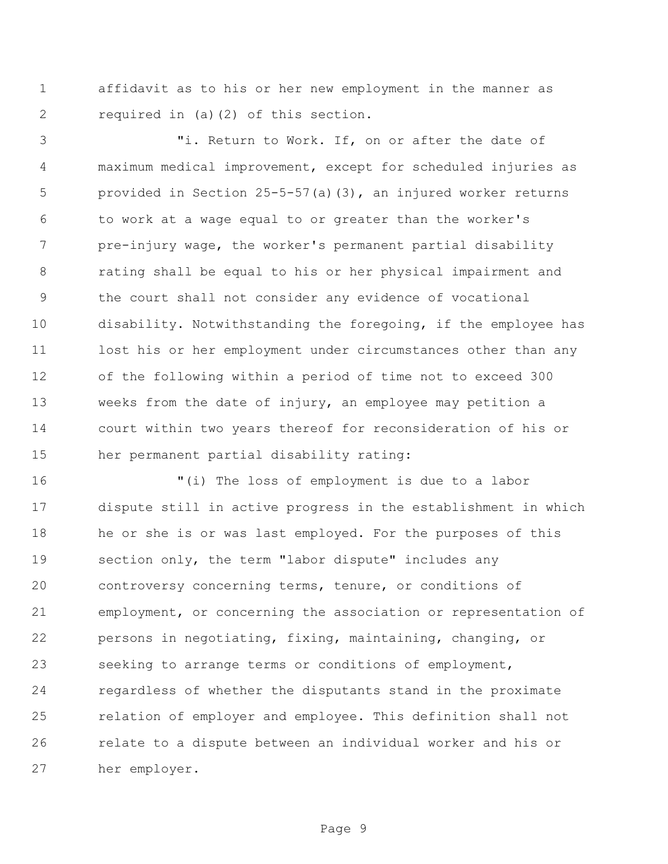affidavit as to his or her new employment in the manner as required in (a)(2) of this section.

 "i. Return to Work. If, on or after the date of maximum medical improvement, except for scheduled injuries as provided in Section 25-5-57(a)(3), an injured worker returns to work at a wage equal to or greater than the worker's pre-injury wage, the worker's permanent partial disability rating shall be equal to his or her physical impairment and the court shall not consider any evidence of vocational disability. Notwithstanding the foregoing, if the employee has lost his or her employment under circumstances other than any of the following within a period of time not to exceed 300 weeks from the date of injury, an employee may petition a court within two years thereof for reconsideration of his or her permanent partial disability rating:

 "(i) The loss of employment is due to a labor dispute still in active progress in the establishment in which he or she is or was last employed. For the purposes of this section only, the term "labor dispute" includes any controversy concerning terms, tenure, or conditions of employment, or concerning the association or representation of persons in negotiating, fixing, maintaining, changing, or seeking to arrange terms or conditions of employment, regardless of whether the disputants stand in the proximate relation of employer and employee. This definition shall not relate to a dispute between an individual worker and his or her employer.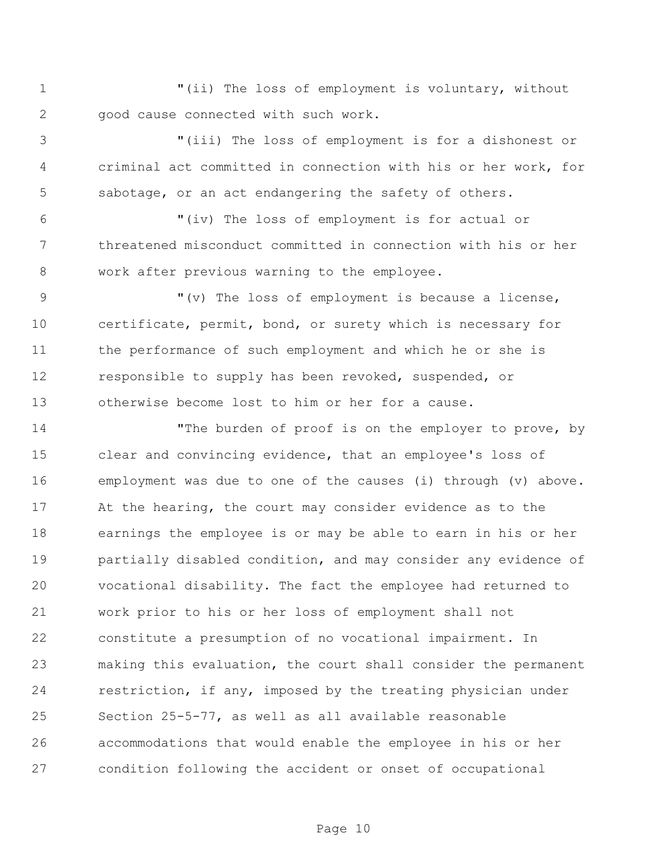1 "(ii) The loss of employment is voluntary, without good cause connected with such work.

 "(iii) The loss of employment is for a dishonest or criminal act committed in connection with his or her work, for sabotage, or an act endangering the safety of others.

 "(iv) The loss of employment is for actual or threatened misconduct committed in connection with his or her work after previous warning to the employee.

9 "(v) The loss of employment is because a license, certificate, permit, bond, or surety which is necessary for the performance of such employment and which he or she is responsible to supply has been revoked, suspended, or otherwise become lost to him or her for a cause.

 "The burden of proof is on the employer to prove, by clear and convincing evidence, that an employee's loss of employment was due to one of the causes (i) through (v) above. At the hearing, the court may consider evidence as to the earnings the employee is or may be able to earn in his or her partially disabled condition, and may consider any evidence of vocational disability. The fact the employee had returned to work prior to his or her loss of employment shall not constitute a presumption of no vocational impairment. In making this evaluation, the court shall consider the permanent restriction, if any, imposed by the treating physician under Section 25-5-77, as well as all available reasonable accommodations that would enable the employee in his or her condition following the accident or onset of occupational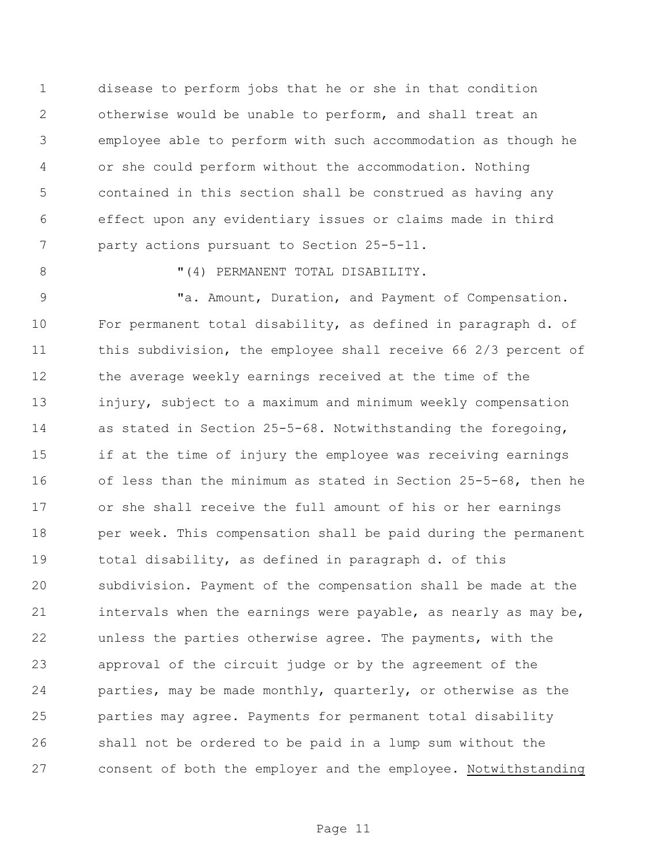disease to perform jobs that he or she in that condition otherwise would be unable to perform, and shall treat an employee able to perform with such accommodation as though he or she could perform without the accommodation. Nothing contained in this section shall be construed as having any effect upon any evidentiary issues or claims made in third party actions pursuant to Section 25-5-11.

8 "(4) PERMANENT TOTAL DISABILITY.

9 Ta. Amount, Duration, and Payment of Compensation. For permanent total disability, as defined in paragraph d. of this subdivision, the employee shall receive 66 2/3 percent of the average weekly earnings received at the time of the injury, subject to a maximum and minimum weekly compensation as stated in Section 25-5-68. Notwithstanding the foregoing, if at the time of injury the employee was receiving earnings of less than the minimum as stated in Section 25-5-68, then he or she shall receive the full amount of his or her earnings per week. This compensation shall be paid during the permanent total disability, as defined in paragraph d. of this subdivision. Payment of the compensation shall be made at the intervals when the earnings were payable, as nearly as may be, unless the parties otherwise agree. The payments, with the approval of the circuit judge or by the agreement of the parties, may be made monthly, quarterly, or otherwise as the parties may agree. Payments for permanent total disability shall not be ordered to be paid in a lump sum without the consent of both the employer and the employee. Notwithstanding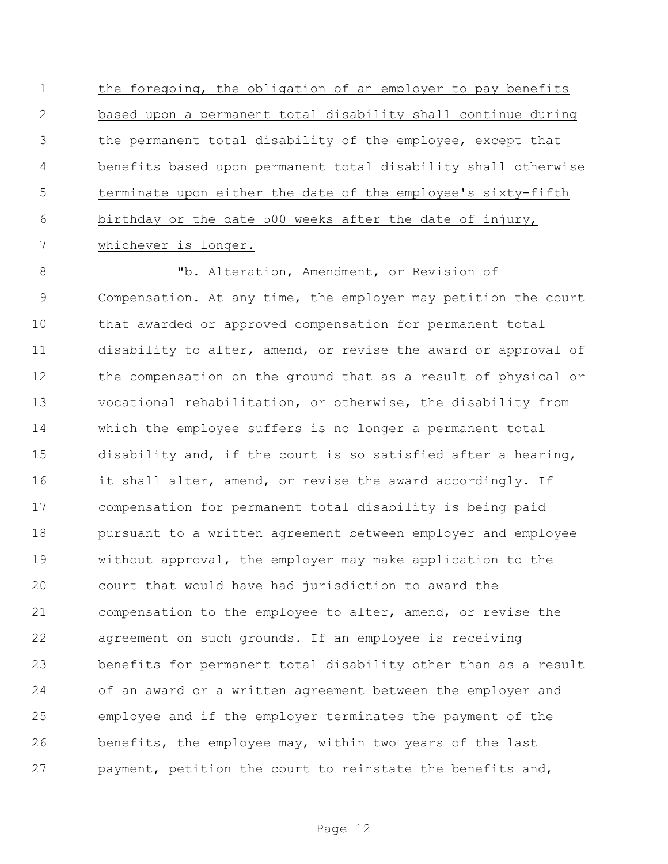1 the foregoing, the obligation of an employer to pay benefits based upon a permanent total disability shall continue during the permanent total disability of the employee, except that benefits based upon permanent total disability shall otherwise terminate upon either the date of the employee's sixty-fifth birthday or the date 500 weeks after the date of injury, whichever is longer.

 "b. Alteration, Amendment, or Revision of Compensation. At any time, the employer may petition the court that awarded or approved compensation for permanent total disability to alter, amend, or revise the award or approval of the compensation on the ground that as a result of physical or vocational rehabilitation, or otherwise, the disability from which the employee suffers is no longer a permanent total disability and, if the court is so satisfied after a hearing, 16 it shall alter, amend, or revise the award accordingly. If compensation for permanent total disability is being paid pursuant to a written agreement between employer and employee without approval, the employer may make application to the court that would have had jurisdiction to award the compensation to the employee to alter, amend, or revise the agreement on such grounds. If an employee is receiving benefits for permanent total disability other than as a result of an award or a written agreement between the employer and employee and if the employer terminates the payment of the benefits, the employee may, within two years of the last payment, petition the court to reinstate the benefits and,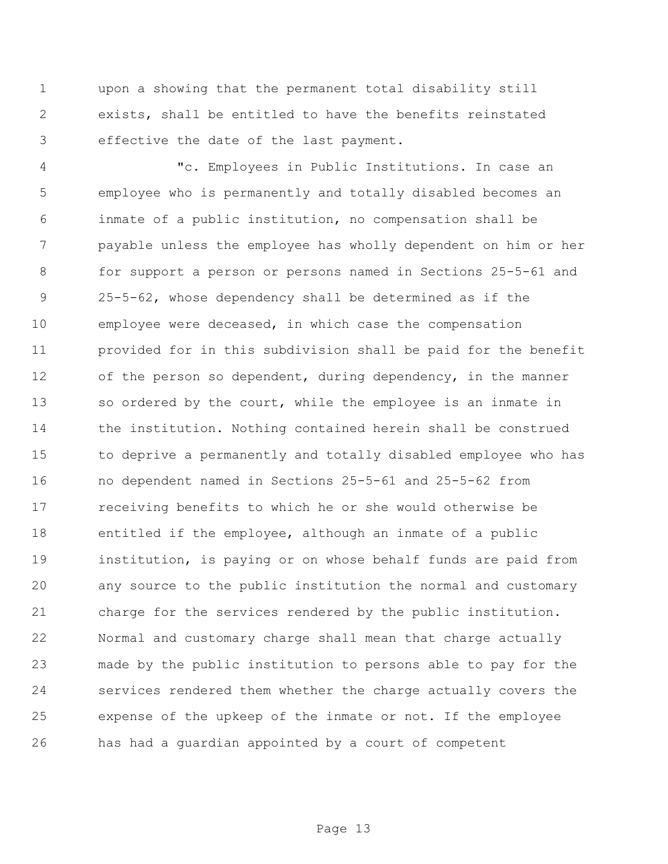upon a showing that the permanent total disability still exists, shall be entitled to have the benefits reinstated effective the date of the last payment.

 "c. Employees in Public Institutions. In case an employee who is permanently and totally disabled becomes an inmate of a public institution, no compensation shall be payable unless the employee has wholly dependent on him or her for support a person or persons named in Sections 25-5-61 and 25-5-62, whose dependency shall be determined as if the employee were deceased, in which case the compensation provided for in this subdivision shall be paid for the benefit of the person so dependent, during dependency, in the manner 13 so ordered by the court, while the employee is an inmate in the institution. Nothing contained herein shall be construed to deprive a permanently and totally disabled employee who has no dependent named in Sections 25-5-61 and 25-5-62 from receiving benefits to which he or she would otherwise be entitled if the employee, although an inmate of a public institution, is paying or on whose behalf funds are paid from any source to the public institution the normal and customary charge for the services rendered by the public institution. Normal and customary charge shall mean that charge actually made by the public institution to persons able to pay for the services rendered them whether the charge actually covers the expense of the upkeep of the inmate or not. If the employee has had a guardian appointed by a court of competent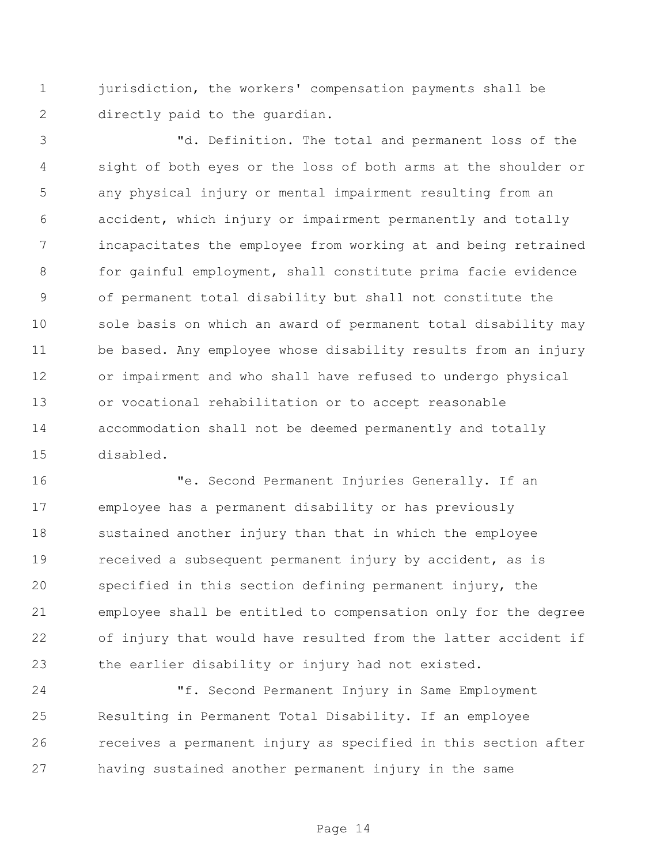jurisdiction, the workers' compensation payments shall be directly paid to the guardian.

 "d. Definition. The total and permanent loss of the sight of both eyes or the loss of both arms at the shoulder or any physical injury or mental impairment resulting from an accident, which injury or impairment permanently and totally incapacitates the employee from working at and being retrained for gainful employment, shall constitute prima facie evidence of permanent total disability but shall not constitute the sole basis on which an award of permanent total disability may be based. Any employee whose disability results from an injury or impairment and who shall have refused to undergo physical or vocational rehabilitation or to accept reasonable accommodation shall not be deemed permanently and totally disabled.

 "e. Second Permanent Injuries Generally. If an employee has a permanent disability or has previously sustained another injury than that in which the employee 19 received a subsequent permanent injury by accident, as is specified in this section defining permanent injury, the employee shall be entitled to compensation only for the degree of injury that would have resulted from the latter accident if the earlier disability or injury had not existed.

 "f. Second Permanent Injury in Same Employment Resulting in Permanent Total Disability. If an employee receives a permanent injury as specified in this section after having sustained another permanent injury in the same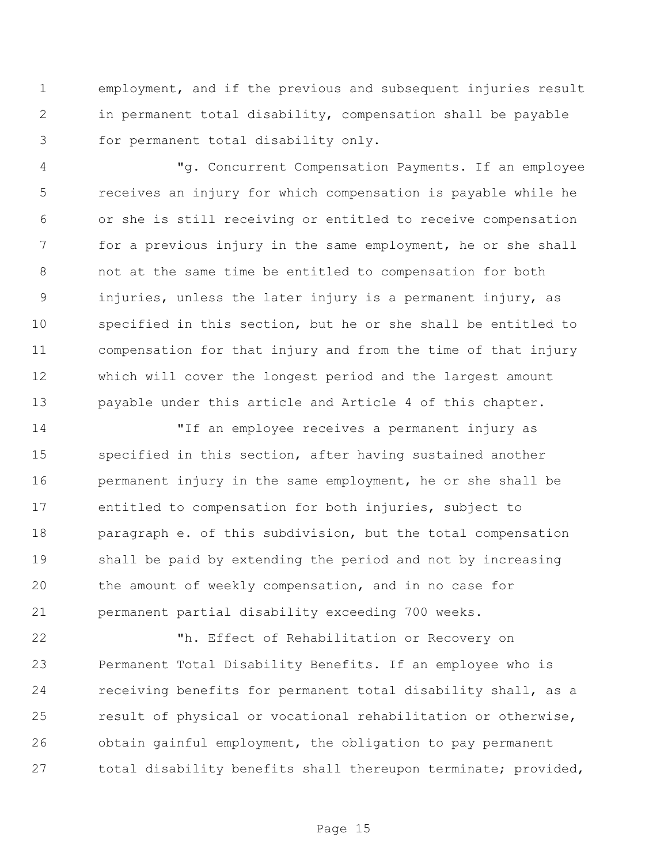employment, and if the previous and subsequent injuries result in permanent total disability, compensation shall be payable for permanent total disability only.

 "g. Concurrent Compensation Payments. If an employee receives an injury for which compensation is payable while he or she is still receiving or entitled to receive compensation for a previous injury in the same employment, he or she shall not at the same time be entitled to compensation for both injuries, unless the later injury is a permanent injury, as specified in this section, but he or she shall be entitled to compensation for that injury and from the time of that injury which will cover the longest period and the largest amount payable under this article and Article 4 of this chapter.

 "If an employee receives a permanent injury as specified in this section, after having sustained another permanent injury in the same employment, he or she shall be entitled to compensation for both injuries, subject to paragraph e. of this subdivision, but the total compensation shall be paid by extending the period and not by increasing the amount of weekly compensation, and in no case for permanent partial disability exceeding 700 weeks.

 "h. Effect of Rehabilitation or Recovery on Permanent Total Disability Benefits. If an employee who is receiving benefits for permanent total disability shall, as a result of physical or vocational rehabilitation or otherwise, obtain gainful employment, the obligation to pay permanent total disability benefits shall thereupon terminate; provided,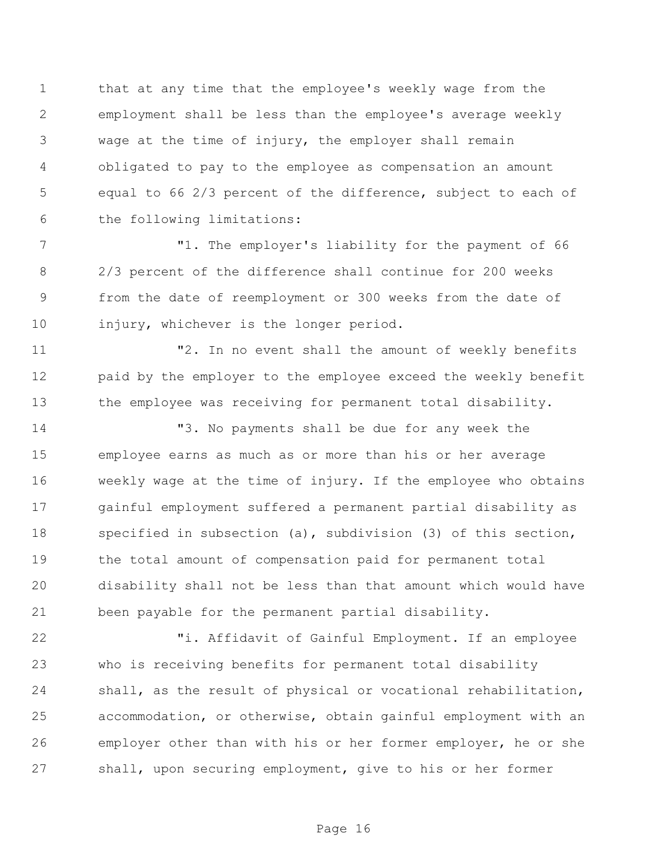that at any time that the employee's weekly wage from the employment shall be less than the employee's average weekly wage at the time of injury, the employer shall remain obligated to pay to the employee as compensation an amount equal to 66 2/3 percent of the difference, subject to each of the following limitations:

 "1. The employer's liability for the payment of 66 2/3 percent of the difference shall continue for 200 weeks from the date of reemployment or 300 weeks from the date of injury, whichever is the longer period.

 "2. In no event shall the amount of weekly benefits paid by the employer to the employee exceed the weekly benefit the employee was receiving for permanent total disability.

 "3. No payments shall be due for any week the employee earns as much as or more than his or her average weekly wage at the time of injury. If the employee who obtains gainful employment suffered a permanent partial disability as specified in subsection (a), subdivision (3) of this section, the total amount of compensation paid for permanent total disability shall not be less than that amount which would have been payable for the permanent partial disability.

 "i. Affidavit of Gainful Employment. If an employee who is receiving benefits for permanent total disability shall, as the result of physical or vocational rehabilitation, accommodation, or otherwise, obtain gainful employment with an employer other than with his or her former employer, he or she shall, upon securing employment, give to his or her former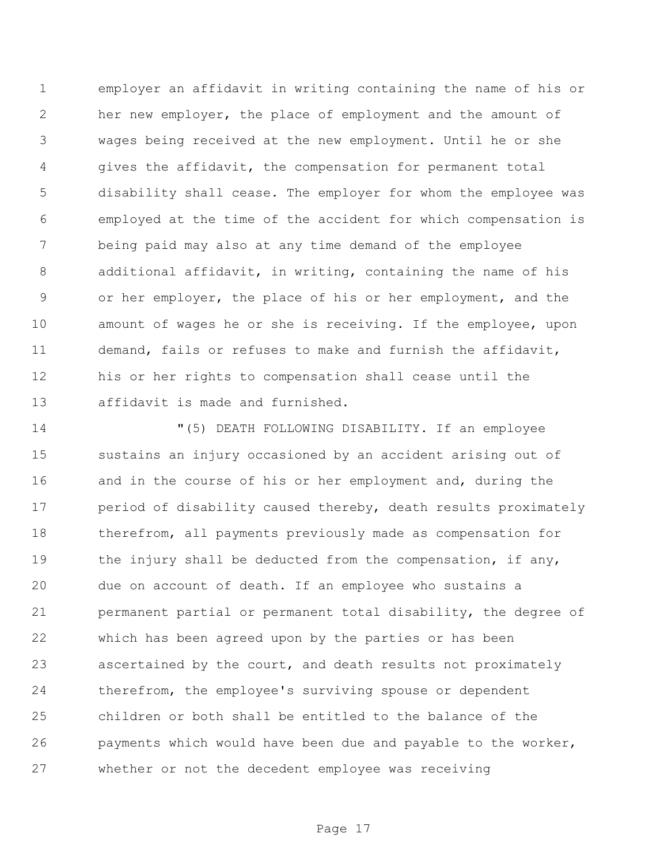employer an affidavit in writing containing the name of his or her new employer, the place of employment and the amount of wages being received at the new employment. Until he or she gives the affidavit, the compensation for permanent total disability shall cease. The employer for whom the employee was employed at the time of the accident for which compensation is being paid may also at any time demand of the employee additional affidavit, in writing, containing the name of his or her employer, the place of his or her employment, and the amount of wages he or she is receiving. If the employee, upon demand, fails or refuses to make and furnish the affidavit, his or her rights to compensation shall cease until the affidavit is made and furnished.

 "(5) DEATH FOLLOWING DISABILITY. If an employee sustains an injury occasioned by an accident arising out of 16 and in the course of his or her employment and, during the period of disability caused thereby, death results proximately therefrom, all payments previously made as compensation for 19 the injury shall be deducted from the compensation, if any, due on account of death. If an employee who sustains a permanent partial or permanent total disability, the degree of which has been agreed upon by the parties or has been ascertained by the court, and death results not proximately therefrom, the employee's surviving spouse or dependent children or both shall be entitled to the balance of the payments which would have been due and payable to the worker, whether or not the decedent employee was receiving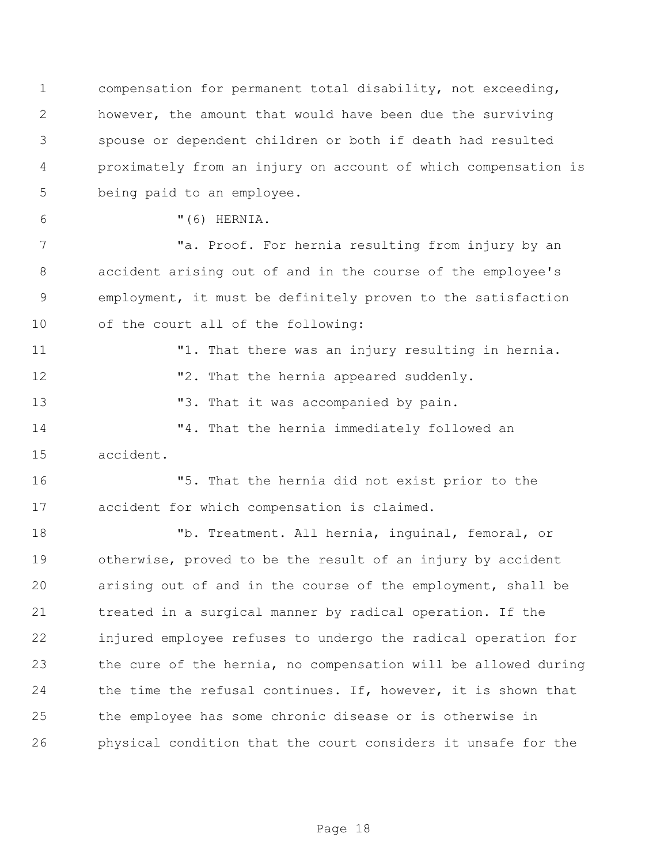compensation for permanent total disability, not exceeding, however, the amount that would have been due the surviving spouse or dependent children or both if death had resulted proximately from an injury on account of which compensation is being paid to an employee.

"(6) HERNIA.

7 The Manglerian Proof. For hernia resulting from injury by an accident arising out of and in the course of the employee's employment, it must be definitely proven to the satisfaction of the court all of the following:

11 That there was an injury resulting in hernia. "2. That the hernia appeared suddenly. "3. That it was accompanied by pain. "4. That the hernia immediately followed an

accident.

 "5. That the hernia did not exist prior to the accident for which compensation is claimed.

 "b. Treatment. All hernia, inguinal, femoral, or otherwise, proved to be the result of an injury by accident arising out of and in the course of the employment, shall be treated in a surgical manner by radical operation. If the injured employee refuses to undergo the radical operation for the cure of the hernia, no compensation will be allowed during the time the refusal continues. If, however, it is shown that the employee has some chronic disease or is otherwise in physical condition that the court considers it unsafe for the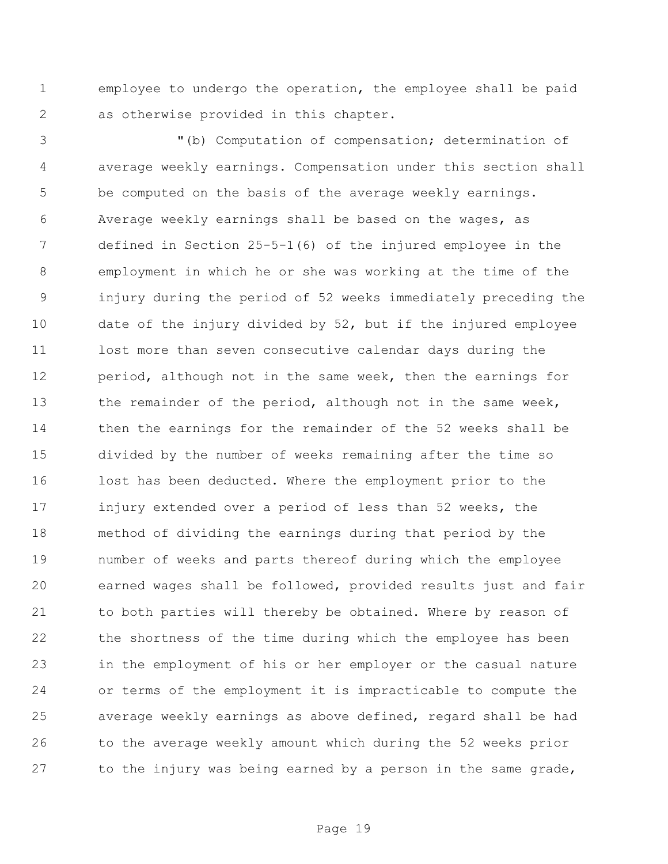employee to undergo the operation, the employee shall be paid as otherwise provided in this chapter.

 "(b) Computation of compensation; determination of average weekly earnings. Compensation under this section shall be computed on the basis of the average weekly earnings. Average weekly earnings shall be based on the wages, as defined in Section 25-5-1(6) of the injured employee in the employment in which he or she was working at the time of the injury during the period of 52 weeks immediately preceding the date of the injury divided by 52, but if the injured employee 11 lost more than seven consecutive calendar days during the 12 period, although not in the same week, then the earnings for 13 the remainder of the period, although not in the same week, then the earnings for the remainder of the 52 weeks shall be divided by the number of weeks remaining after the time so lost has been deducted. Where the employment prior to the injury extended over a period of less than 52 weeks, the method of dividing the earnings during that period by the number of weeks and parts thereof during which the employee earned wages shall be followed, provided results just and fair to both parties will thereby be obtained. Where by reason of the shortness of the time during which the employee has been in the employment of his or her employer or the casual nature or terms of the employment it is impracticable to compute the average weekly earnings as above defined, regard shall be had to the average weekly amount which during the 52 weeks prior to the injury was being earned by a person in the same grade,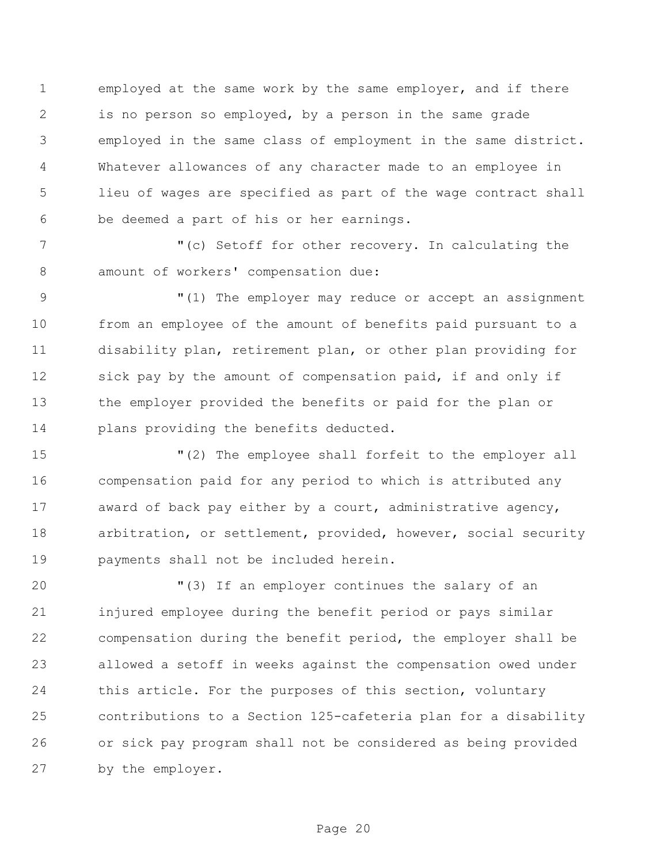employed at the same work by the same employer, and if there is no person so employed, by a person in the same grade employed in the same class of employment in the same district. Whatever allowances of any character made to an employee in lieu of wages are specified as part of the wage contract shall be deemed a part of his or her earnings.

 "(c) Setoff for other recovery. In calculating the amount of workers' compensation due:

 $(1)$  The employer may reduce or accept an assignment from an employee of the amount of benefits paid pursuant to a disability plan, retirement plan, or other plan providing for sick pay by the amount of compensation paid, if and only if the employer provided the benefits or paid for the plan or plans providing the benefits deducted.

 "(2) The employee shall forfeit to the employer all compensation paid for any period to which is attributed any award of back pay either by a court, administrative agency, arbitration, or settlement, provided, however, social security payments shall not be included herein.

 "(3) If an employer continues the salary of an injured employee during the benefit period or pays similar compensation during the benefit period, the employer shall be allowed a setoff in weeks against the compensation owed under this article. For the purposes of this section, voluntary contributions to a Section 125-cafeteria plan for a disability or sick pay program shall not be considered as being provided by the employer.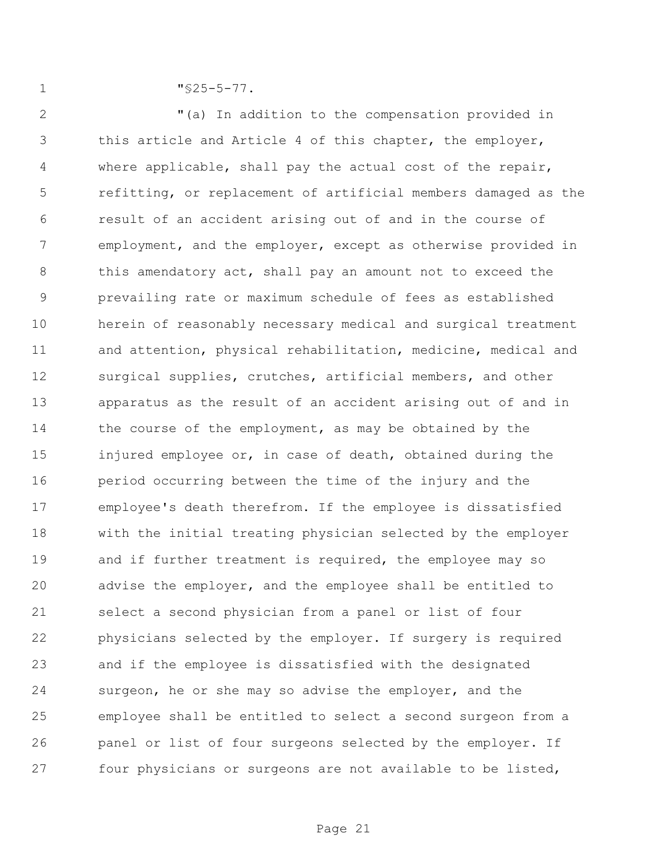"§25-5-77.

 "(a) In addition to the compensation provided in this article and Article 4 of this chapter, the employer, where applicable, shall pay the actual cost of the repair, refitting, or replacement of artificial members damaged as the result of an accident arising out of and in the course of employment, and the employer, except as otherwise provided in 8 this amendatory act, shall pay an amount not to exceed the prevailing rate or maximum schedule of fees as established herein of reasonably necessary medical and surgical treatment and attention, physical rehabilitation, medicine, medical and surgical supplies, crutches, artificial members, and other apparatus as the result of an accident arising out of and in 14 the course of the employment, as may be obtained by the injured employee or, in case of death, obtained during the period occurring between the time of the injury and the employee's death therefrom. If the employee is dissatisfied with the initial treating physician selected by the employer 19 and if further treatment is required, the employee may so advise the employer, and the employee shall be entitled to select a second physician from a panel or list of four physicians selected by the employer. If surgery is required and if the employee is dissatisfied with the designated surgeon, he or she may so advise the employer, and the employee shall be entitled to select a second surgeon from a panel or list of four surgeons selected by the employer. If four physicians or surgeons are not available to be listed,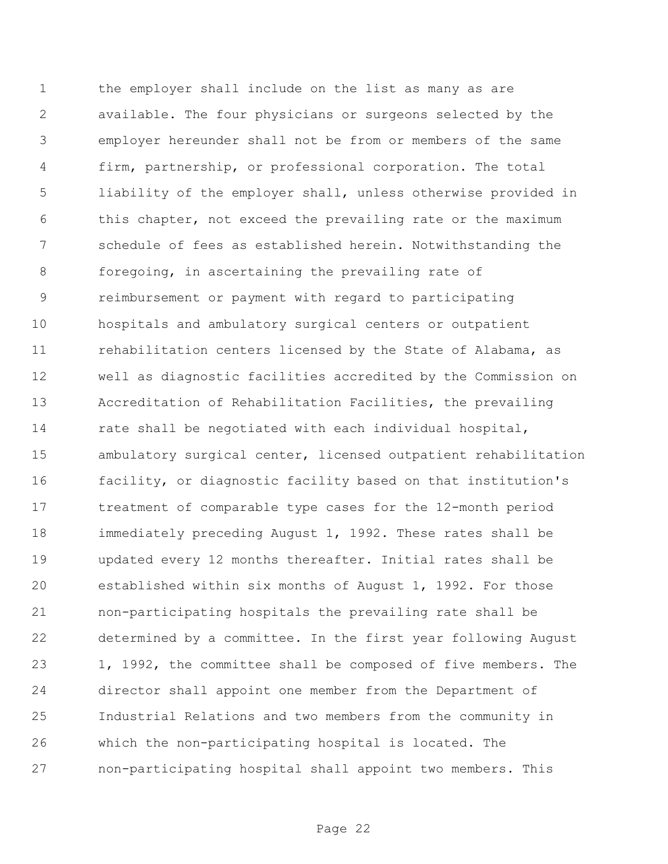the employer shall include on the list as many as are available. The four physicians or surgeons selected by the employer hereunder shall not be from or members of the same firm, partnership, or professional corporation. The total liability of the employer shall, unless otherwise provided in this chapter, not exceed the prevailing rate or the maximum schedule of fees as established herein. Notwithstanding the foregoing, in ascertaining the prevailing rate of reimbursement or payment with regard to participating hospitals and ambulatory surgical centers or outpatient 11 rehabilitation centers licensed by the State of Alabama, as well as diagnostic facilities accredited by the Commission on Accreditation of Rehabilitation Facilities, the prevailing 14 rate shall be negotiated with each individual hospital, ambulatory surgical center, licensed outpatient rehabilitation facility, or diagnostic facility based on that institution's treatment of comparable type cases for the 12-month period immediately preceding August 1, 1992. These rates shall be updated every 12 months thereafter. Initial rates shall be established within six months of August 1, 1992. For those non-participating hospitals the prevailing rate shall be determined by a committee. In the first year following August 1, 1992, the committee shall be composed of five members. The director shall appoint one member from the Department of Industrial Relations and two members from the community in which the non-participating hospital is located. The non-participating hospital shall appoint two members. This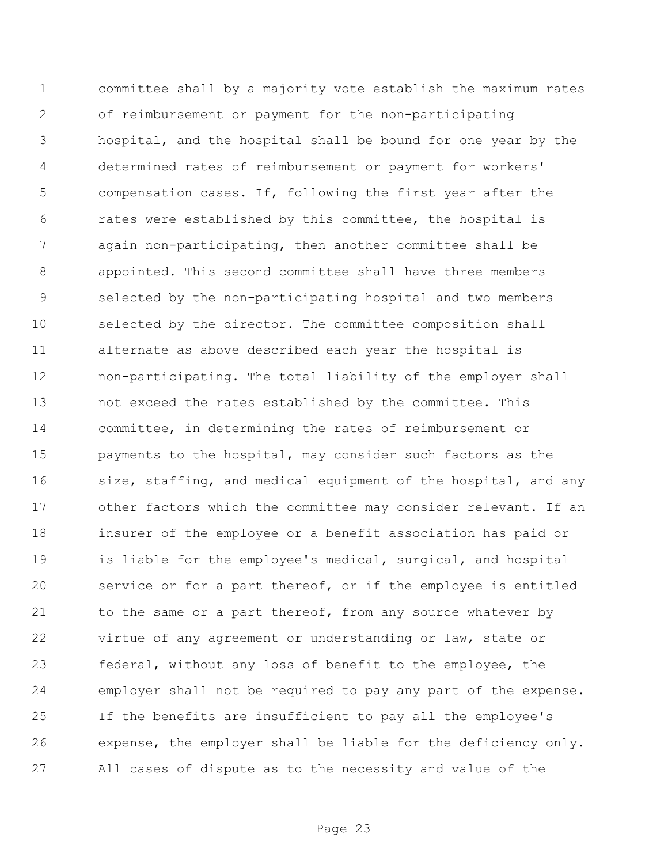committee shall by a majority vote establish the maximum rates of reimbursement or payment for the non-participating hospital, and the hospital shall be bound for one year by the determined rates of reimbursement or payment for workers' compensation cases. If, following the first year after the rates were established by this committee, the hospital is again non-participating, then another committee shall be appointed. This second committee shall have three members selected by the non-participating hospital and two members selected by the director. The committee composition shall alternate as above described each year the hospital is non-participating. The total liability of the employer shall not exceed the rates established by the committee. This committee, in determining the rates of reimbursement or payments to the hospital, may consider such factors as the 16 size, staffing, and medical equipment of the hospital, and any other factors which the committee may consider relevant. If an insurer of the employee or a benefit association has paid or is liable for the employee's medical, surgical, and hospital service or for a part thereof, or if the employee is entitled 21 to the same or a part thereof, from any source whatever by virtue of any agreement or understanding or law, state or federal, without any loss of benefit to the employee, the employer shall not be required to pay any part of the expense. If the benefits are insufficient to pay all the employee's expense, the employer shall be liable for the deficiency only. All cases of dispute as to the necessity and value of the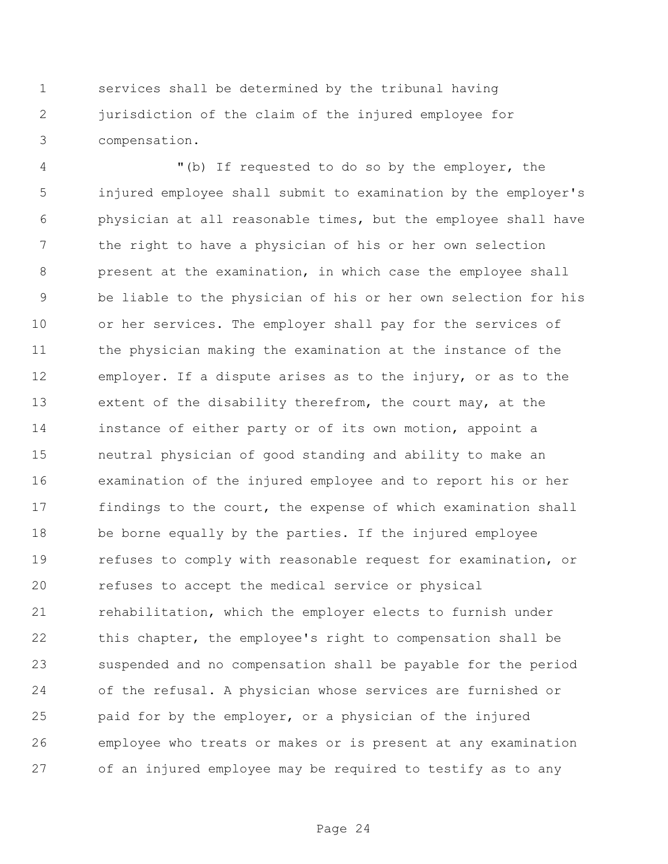services shall be determined by the tribunal having jurisdiction of the claim of the injured employee for compensation.

 "(b) If requested to do so by the employer, the injured employee shall submit to examination by the employer's physician at all reasonable times, but the employee shall have the right to have a physician of his or her own selection present at the examination, in which case the employee shall be liable to the physician of his or her own selection for his or her services. The employer shall pay for the services of the physician making the examination at the instance of the employer. If a dispute arises as to the injury, or as to the extent of the disability therefrom, the court may, at the 14 instance of either party or of its own motion, appoint a neutral physician of good standing and ability to make an examination of the injured employee and to report his or her findings to the court, the expense of which examination shall be borne equally by the parties. If the injured employee **refuses to comply with reasonable request for examination, or**  refuses to accept the medical service or physical rehabilitation, which the employer elects to furnish under this chapter, the employee's right to compensation shall be suspended and no compensation shall be payable for the period of the refusal. A physician whose services are furnished or paid for by the employer, or a physician of the injured employee who treats or makes or is present at any examination of an injured employee may be required to testify as to any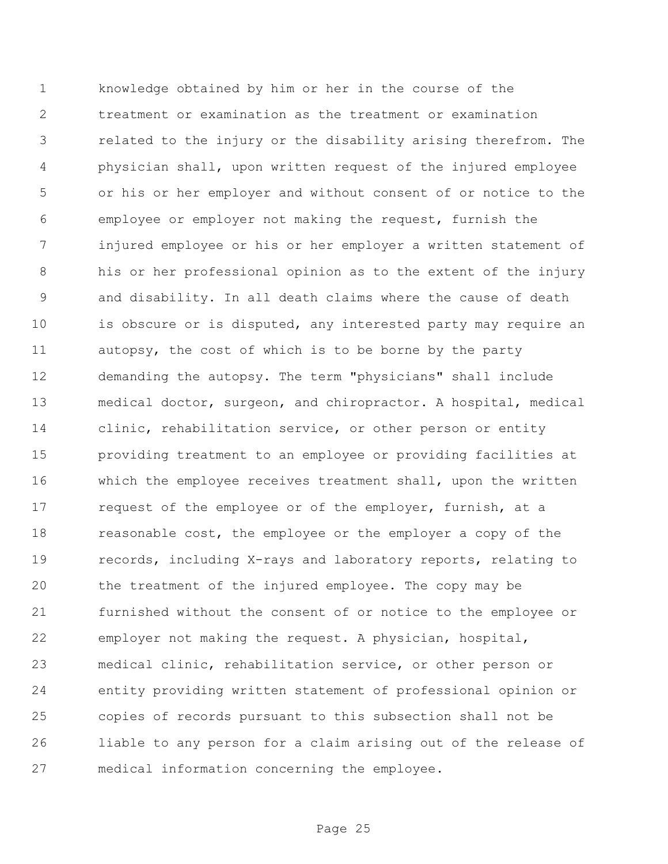knowledge obtained by him or her in the course of the treatment or examination as the treatment or examination related to the injury or the disability arising therefrom. The physician shall, upon written request of the injured employee or his or her employer and without consent of or notice to the employee or employer not making the request, furnish the injured employee or his or her employer a written statement of his or her professional opinion as to the extent of the injury and disability. In all death claims where the cause of death is obscure or is disputed, any interested party may require an autopsy, the cost of which is to be borne by the party demanding the autopsy. The term "physicians" shall include medical doctor, surgeon, and chiropractor. A hospital, medical clinic, rehabilitation service, or other person or entity providing treatment to an employee or providing facilities at which the employee receives treatment shall, upon the written 17 request of the employee or of the employer, furnish, at a 18 reasonable cost, the employee or the employer a copy of the records, including X-rays and laboratory reports, relating to the treatment of the injured employee. The copy may be furnished without the consent of or notice to the employee or employer not making the request. A physician, hospital, medical clinic, rehabilitation service, or other person or entity providing written statement of professional opinion or copies of records pursuant to this subsection shall not be liable to any person for a claim arising out of the release of medical information concerning the employee.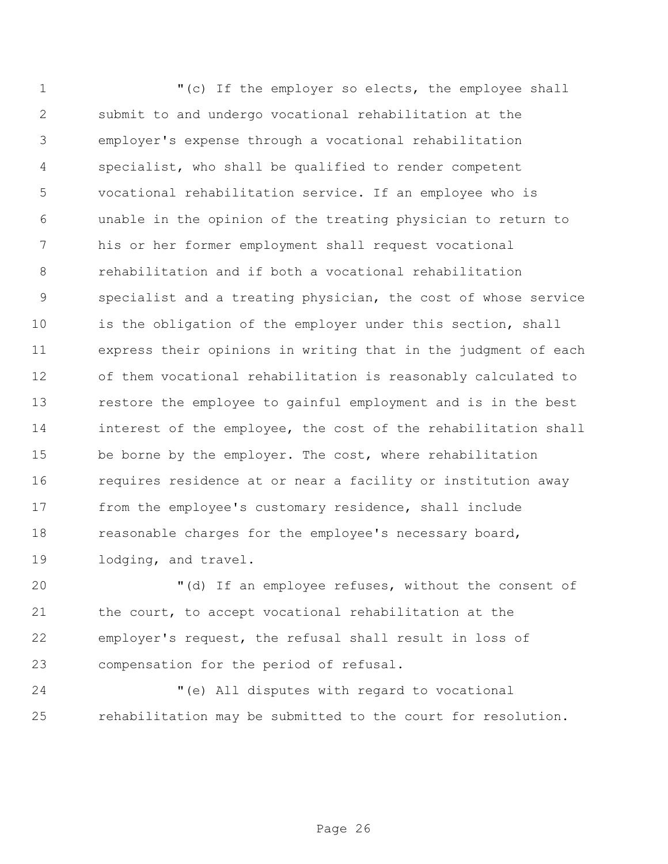"(c) If the employer so elects, the employee shall submit to and undergo vocational rehabilitation at the employer's expense through a vocational rehabilitation specialist, who shall be qualified to render competent vocational rehabilitation service. If an employee who is unable in the opinion of the treating physician to return to his or her former employment shall request vocational rehabilitation and if both a vocational rehabilitation specialist and a treating physician, the cost of whose service 10 is the obligation of the employer under this section, shall express their opinions in writing that in the judgment of each of them vocational rehabilitation is reasonably calculated to restore the employee to gainful employment and is in the best interest of the employee, the cost of the rehabilitation shall be borne by the employer. The cost, where rehabilitation requires residence at or near a facility or institution away from the employee's customary residence, shall include 18 reasonable charges for the employee's necessary board, lodging, and travel.

 "(d) If an employee refuses, without the consent of 21 the court, to accept vocational rehabilitation at the employer's request, the refusal shall result in loss of compensation for the period of refusal.

 "(e) All disputes with regard to vocational rehabilitation may be submitted to the court for resolution.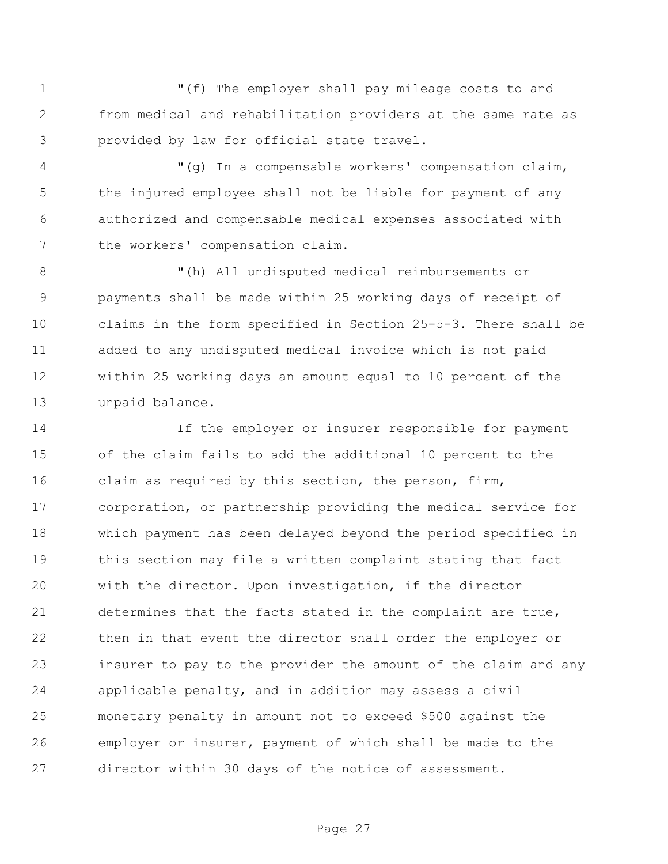1 The employer shall pay mileage costs to and from medical and rehabilitation providers at the same rate as provided by law for official state travel.

 "(g) In a compensable workers' compensation claim, the injured employee shall not be liable for payment of any authorized and compensable medical expenses associated with 7 the workers' compensation claim.

 "(h) All undisputed medical reimbursements or payments shall be made within 25 working days of receipt of claims in the form specified in Section 25-5-3. There shall be added to any undisputed medical invoice which is not paid within 25 working days an amount equal to 10 percent of the unpaid balance.

 If the employer or insurer responsible for payment of the claim fails to add the additional 10 percent to the claim as required by this section, the person, firm, corporation, or partnership providing the medical service for which payment has been delayed beyond the period specified in this section may file a written complaint stating that fact with the director. Upon investigation, if the director determines that the facts stated in the complaint are true, then in that event the director shall order the employer or insurer to pay to the provider the amount of the claim and any applicable penalty, and in addition may assess a civil monetary penalty in amount not to exceed \$500 against the employer or insurer, payment of which shall be made to the director within 30 days of the notice of assessment.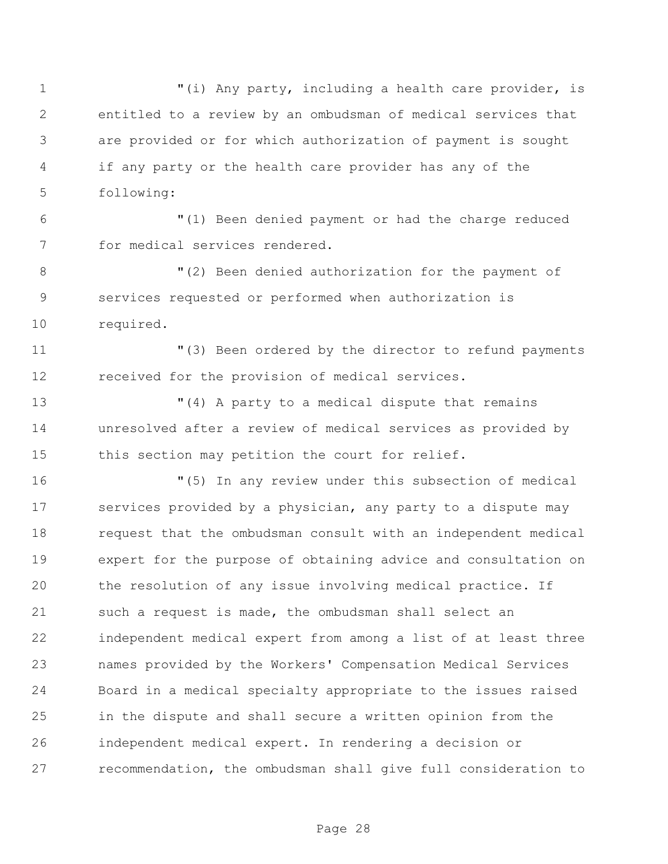1 The Music of the Music of the Music Provider, is a lead to Music of the Music of the Music Provider, is entitled to a review by an ombudsman of medical services that are provided or for which authorization of payment is sought if any party or the health care provider has any of the following: "(1) Been denied payment or had the charge reduced for medical services rendered.  $(2)$  Been denied authorization for the payment of services requested or performed when authorization is required. "(3) Been ordered by the director to refund payments received for the provision of medical services. "(4) A party to a medical dispute that remains unresolved after a review of medical services as provided by this section may petition the court for relief. "(5) In any review under this subsection of medical services provided by a physician, any party to a dispute may request that the ombudsman consult with an independent medical expert for the purpose of obtaining advice and consultation on the resolution of any issue involving medical practice. If such a request is made, the ombudsman shall select an independent medical expert from among a list of at least three names provided by the Workers' Compensation Medical Services Board in a medical specialty appropriate to the issues raised in the dispute and shall secure a written opinion from the independent medical expert. In rendering a decision or recommendation, the ombudsman shall give full consideration to